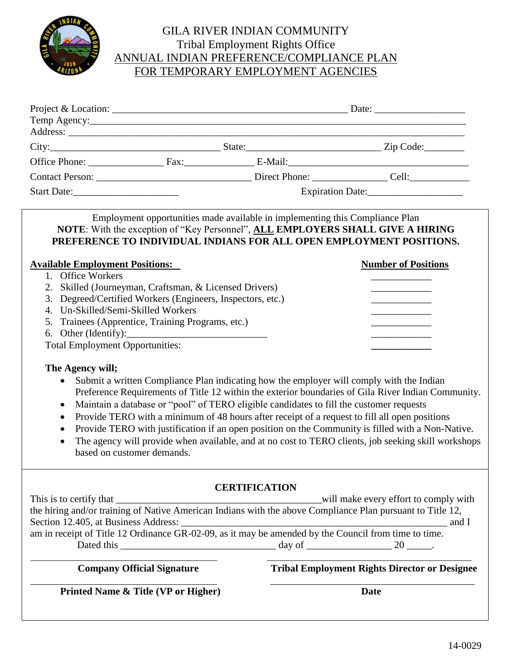

## GILA RIVER INDIAN COMMUNITY Tribal Employment Rights Office ANNUAL INDIAN PREFERENCE/COMPLIANCE PLAN FOR TEMPORARY EMPLOYMENT AGENCIES

| Start Date:                                                                                                                                                                                                                                                                    |                                     |                                                                                         | Expiration Date:                                                                                                                                                                                                                                                                                                                                                                                                                                                                                            |  |  |
|--------------------------------------------------------------------------------------------------------------------------------------------------------------------------------------------------------------------------------------------------------------------------------|-------------------------------------|-----------------------------------------------------------------------------------------|-------------------------------------------------------------------------------------------------------------------------------------------------------------------------------------------------------------------------------------------------------------------------------------------------------------------------------------------------------------------------------------------------------------------------------------------------------------------------------------------------------------|--|--|
| <b>Available Employment Positions:</b>                                                                                                                                                                                                                                         |                                     | Employment opportunities made available in implementing this Compliance Plan            | NOTE: With the exception of "Key Personnel", ALL EMPLOYERS SHALL GIVE A HIRING<br>PREFERENCE TO INDIVIDUAL INDIANS FOR ALL OPEN EMPLOYMENT POSITIONS.<br><b>Number of Positions</b>                                                                                                                                                                                                                                                                                                                         |  |  |
| 1. Office Workers<br>2. Skilled (Journeyman, Craftsman, & Licensed Drivers)<br>3. Degreed/Certified Workers (Engineers, Inspectors, etc.)<br>4. Un-Skilled/Semi-Skilled Workers<br>5. Trainees (Apprentice, Training Programs, etc.)<br><b>Total Employment Opportunities:</b> |                                     |                                                                                         |                                                                                                                                                                                                                                                                                                                                                                                                                                                                                                             |  |  |
| The Agency will;<br>$\bullet$<br>$\bullet$<br>$\bullet$<br>based on customer demands.                                                                                                                                                                                          |                                     | Maintain a database or "pool" of TERO eligible candidates to fill the customer requests | Submit a written Compliance Plan indicating how the employer will comply with the Indian<br>Preference Requirements of Title 12 within the exterior boundaries of Gila River Indian Community.<br>Provide TERO with a minimum of 48 hours after receipt of a request to fill all open positions<br>Provide TERO with justification if an open position on the Community is filled with a Non-Native.<br>The agency will provide when available, and at no cost to TERO clients, job seeking skill workshops |  |  |
| This is to certify that<br>Section 12.405, at Business Address:                                                                                                                                                                                                                |                                     | <b>CERTIFICATION</b>                                                                    | will make every effort to comply with<br>the hiring and/or training of Native American Indians with the above Compliance Plan pursuant to Title 12,<br>and I                                                                                                                                                                                                                                                                                                                                                |  |  |
|                                                                                                                                                                                                                                                                                | <b>Company Official Signature</b>   |                                                                                         | <b>Tribal Employment Rights Director or Designee</b>                                                                                                                                                                                                                                                                                                                                                                                                                                                        |  |  |
|                                                                                                                                                                                                                                                                                | Printed Name & Title (VP or Higher) |                                                                                         | <b>Date</b>                                                                                                                                                                                                                                                                                                                                                                                                                                                                                                 |  |  |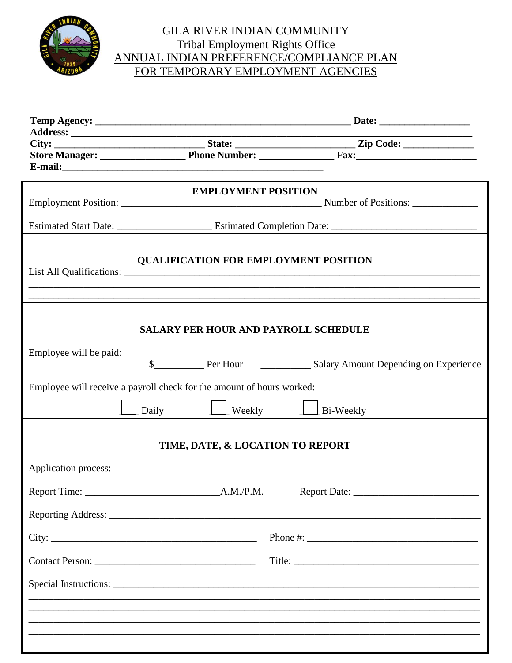

## GILA RIVER INDIAN COMMUNITY Tribal Employment Rights Office<br>ANNUAL INDIAN PREFERENCE/COMPLIANCE PLAN FOR TEMPORARY EMPLOYMENT AGENCIES

|                        | <b>EMPLOYMENT POSITION</b>                                            |                                |  |  |  |  |
|------------------------|-----------------------------------------------------------------------|--------------------------------|--|--|--|--|
|                        |                                                                       |                                |  |  |  |  |
|                        |                                                                       |                                |  |  |  |  |
|                        |                                                                       |                                |  |  |  |  |
|                        | <b>QUALIFICATION FOR EMPLOYMENT POSITION</b>                          |                                |  |  |  |  |
|                        |                                                                       |                                |  |  |  |  |
|                        |                                                                       |                                |  |  |  |  |
|                        |                                                                       |                                |  |  |  |  |
|                        |                                                                       |                                |  |  |  |  |
|                        | <b>SALARY PER HOUR AND PAYROLL SCHEDULE</b>                           |                                |  |  |  |  |
|                        |                                                                       |                                |  |  |  |  |
| Employee will be paid: |                                                                       |                                |  |  |  |  |
|                        |                                                                       |                                |  |  |  |  |
|                        |                                                                       |                                |  |  |  |  |
|                        | Employee will receive a payroll check for the amount of hours worked: |                                |  |  |  |  |
|                        | Daily                                                                 | $\Box$ Weekly $\Box$ Bi-Weekly |  |  |  |  |
|                        |                                                                       |                                |  |  |  |  |
|                        | TIME, DATE, & LOCATION TO REPORT                                      |                                |  |  |  |  |
|                        |                                                                       |                                |  |  |  |  |
|                        |                                                                       |                                |  |  |  |  |
|                        |                                                                       |                                |  |  |  |  |
|                        |                                                                       |                                |  |  |  |  |
|                        |                                                                       |                                |  |  |  |  |
|                        |                                                                       |                                |  |  |  |  |
|                        |                                                                       |                                |  |  |  |  |
|                        |                                                                       |                                |  |  |  |  |
|                        |                                                                       |                                |  |  |  |  |
|                        |                                                                       |                                |  |  |  |  |
|                        |                                                                       |                                |  |  |  |  |
|                        |                                                                       |                                |  |  |  |  |
|                        |                                                                       |                                |  |  |  |  |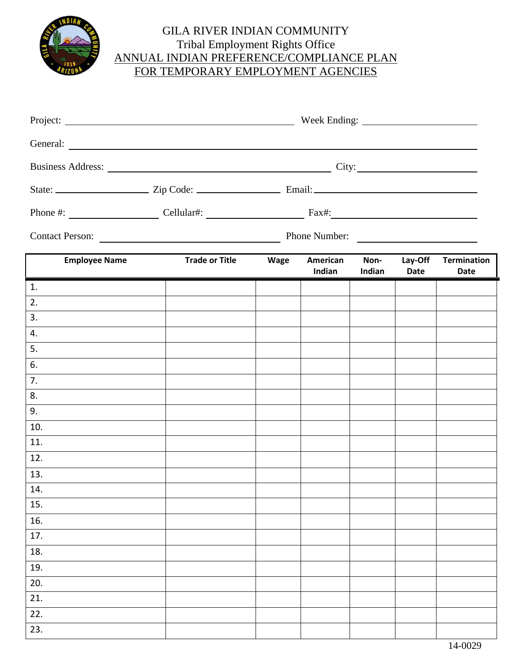

## GILA RIVER INDIAN COMMUNITY Tribal Employment Rights Office ANNUAL INDIAN PREFERENCE/COMPLIANCE PLAN FOR TEMPORARY EMPLOYMENT AGENCIES

|                      | Contact Person:<br>Phone Number: |  |                    |                |                        |                            |
|----------------------|----------------------------------|--|--------------------|----------------|------------------------|----------------------------|
| <b>Employee Name</b> | Trade or Title Wage              |  | American<br>Indian | Non-<br>Indian | Lay-Off<br><b>Date</b> | <b>Termination</b><br>Date |
| 1.                   |                                  |  |                    |                |                        |                            |
| 2.                   |                                  |  |                    |                |                        |                            |
| 3.                   |                                  |  |                    |                |                        |                            |
| 4.                   |                                  |  |                    |                |                        |                            |
| 5.                   |                                  |  |                    |                |                        |                            |
| 6.                   |                                  |  |                    |                |                        |                            |
| 7.                   |                                  |  |                    |                |                        |                            |
| 8.                   |                                  |  |                    |                |                        |                            |
| 9.                   |                                  |  |                    |                |                        |                            |
| 10.                  |                                  |  |                    |                |                        |                            |
| 11.                  |                                  |  |                    |                |                        |                            |
| 12.                  |                                  |  |                    |                |                        |                            |
| 13.                  |                                  |  |                    |                |                        |                            |
| 14.                  |                                  |  |                    |                |                        |                            |
| 15.                  |                                  |  |                    |                |                        |                            |
| 16.                  |                                  |  |                    |                |                        |                            |
| 17.                  |                                  |  |                    |                |                        |                            |
| 18.                  |                                  |  |                    |                |                        |                            |
| 19.                  |                                  |  |                    |                |                        |                            |
| 20.                  |                                  |  |                    |                |                        |                            |
| 21.                  |                                  |  |                    |                |                        |                            |
| 22.                  |                                  |  |                    |                |                        |                            |
| 23.                  |                                  |  |                    |                |                        |                            |